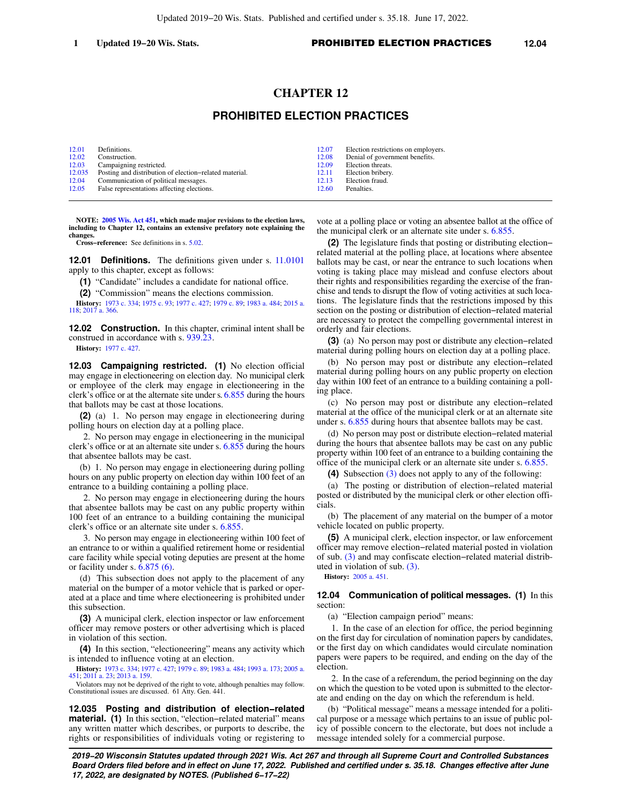# **CHAPTER 12**

## **PROHIBITED ELECTION PRACTICES**

| 12.01  | Definitions.                                           | 12.07 | Election restrictions on employers. |
|--------|--------------------------------------------------------|-------|-------------------------------------|
| 12.02  | Construction.                                          | 12.08 | Denial of government benefits.      |
| 12.03  | Campaigning restricted.                                | 12.09 | Election threats.                   |
| 12.035 | Posting and distribution of election-related material. | 12.11 | Election bribery.                   |
| 12.04  | Communication of political messages.                   | 12.13 | Election fraud.                     |
| 12.05  | False representations affecting elections.             | 12.60 | Penalties.                          |

**NOTE: [2005 Wis. Act 451,](https://docs.legis.wisconsin.gov/document/acts/2005/451) which made major revisions to the election laws, including to Chapter 12, contains an extensive prefatory note explaining the changes.**

**Cross−reference:** See definitions in s. [5.02](https://docs.legis.wisconsin.gov/document/statutes/5.02).

**12.01 Definitions.** The definitions given under s. [11.0101](https://docs.legis.wisconsin.gov/document/statutes/11.0101) apply to this chapter, except as follows:

**(1)** "Candidate" includes a candidate for national office.

**(2)** "Commission" means the elections commission.

**History:** [1973 c. 334](https://docs.legis.wisconsin.gov/document/acts/1973/334); [1975 c. 93](https://docs.legis.wisconsin.gov/document/acts/1975/93); [1977 c. 427](https://docs.legis.wisconsin.gov/document/acts/1977/427); [1979 c. 89](https://docs.legis.wisconsin.gov/document/acts/1979/89); [1983 a. 484;](https://docs.legis.wisconsin.gov/document/acts/1983/484) [2015 a.](https://docs.legis.wisconsin.gov/document/acts/2015/118) [118](https://docs.legis.wisconsin.gov/document/acts/2015/118); [2017 a. 366.](https://docs.legis.wisconsin.gov/document/acts/2017/366)

**12.02 Construction.** In this chapter, criminal intent shall be construed in accordance with s. [939.23.](https://docs.legis.wisconsin.gov/document/statutes/939.23)

**History:** [1977 c. 427](https://docs.legis.wisconsin.gov/document/acts/1977/427).

**12.03 Campaigning restricted. (1)** No election official may engage in electioneering on election day. No municipal clerk or employee of the clerk may engage in electioneering in the clerk's office or at the alternate site under s. [6.855](https://docs.legis.wisconsin.gov/document/statutes/6.855) during the hours that ballots may be cast at those locations.

**(2)** (a) 1. No person may engage in electioneering during polling hours on election day at a polling place.

2. No person may engage in electioneering in the municipal clerk's office or at an alternate site under s. [6.855](https://docs.legis.wisconsin.gov/document/statutes/6.855) during the hours that absentee ballots may be cast.

(b) 1. No person may engage in electioneering during polling hours on any public property on election day within 100 feet of an entrance to a building containing a polling place.

2. No person may engage in electioneering during the hours that absentee ballots may be cast on any public property within 100 feet of an entrance to a building containing the municipal clerk's office or an alternate site under s. [6.855](https://docs.legis.wisconsin.gov/document/statutes/6.855).

3. No person may engage in electioneering within 100 feet of an entrance to or within a qualified retirement home or residential care facility while special voting deputies are present at the home or facility under s. [6.875 \(6\).](https://docs.legis.wisconsin.gov/document/statutes/6.875(6))

(d) This subsection does not apply to the placement of any material on the bumper of a motor vehicle that is parked or operated at a place and time where electioneering is prohibited under this subsection.

**(3)** A municipal clerk, election inspector or law enforcement officer may remove posters or other advertising which is placed in violation of this section.

**(4)** In this section, "electioneering" means any activity which is intended to influence voting at an election.

**History:** [1973 c. 334](https://docs.legis.wisconsin.gov/document/acts/1973/334); [1977 c. 427](https://docs.legis.wisconsin.gov/document/acts/1977/427); [1979 c. 89;](https://docs.legis.wisconsin.gov/document/acts/1979/89) [1983 a. 484;](https://docs.legis.wisconsin.gov/document/acts/1983/484) [1993 a. 173](https://docs.legis.wisconsin.gov/document/acts/1993/173); [2005 a.](https://docs.legis.wisconsin.gov/document/acts/2005/451) [451](https://docs.legis.wisconsin.gov/document/acts/2005/451); [2011 a. 23](https://docs.legis.wisconsin.gov/document/acts/2011/23); [2013 a. 159.](https://docs.legis.wisconsin.gov/document/acts/2013/159)

Violators may not be deprived of the right to vote, although penalties may follow. Constitutional issues are discussed. 61 Atty. Gen. 441.

**12.035 Posting and distribution of election−related material. (1)** In this section, "election−related material" means any written matter which describes, or purports to describe, the rights or responsibilities of individuals voting or registering to

vote at a polling place or voting an absentee ballot at the office of the municipal clerk or an alternate site under s. [6.855](https://docs.legis.wisconsin.gov/document/statutes/6.855).

**(2)** The legislature finds that posting or distributing election− related material at the polling place, at locations where absentee ballots may be cast, or near the entrance to such locations when voting is taking place may mislead and confuse electors about their rights and responsibilities regarding the exercise of the franchise and tends to disrupt the flow of voting activities at such locations. The legislature finds that the restrictions imposed by this section on the posting or distribution of election−related material are necessary to protect the compelling governmental interest in orderly and fair elections.

**(3)** (a) No person may post or distribute any election−related material during polling hours on election day at a polling place.

(b) No person may post or distribute any election−related material during polling hours on any public property on election day within 100 feet of an entrance to a building containing a polling place.

(c) No person may post or distribute any election−related material at the office of the municipal clerk or at an alternate site under s. [6.855](https://docs.legis.wisconsin.gov/document/statutes/6.855) during hours that absentee ballots may be cast.

(d) No person may post or distribute election−related material during the hours that absentee ballots may be cast on any public property within 100 feet of an entrance to a building containing the office of the municipal clerk or an alternate site under s. [6.855](https://docs.legis.wisconsin.gov/document/statutes/6.855).

**(4)** Subsection [\(3\)](https://docs.legis.wisconsin.gov/document/statutes/12.035(3)) does not apply to any of the following:

(a) The posting or distribution of election−related material posted or distributed by the municipal clerk or other election officials.

(b) The placement of any material on the bumper of a motor vehicle located on public property.

**(5)** A municipal clerk, election inspector, or law enforcement officer may remove election−related material posted in violation of sub. [\(3\)](https://docs.legis.wisconsin.gov/document/statutes/12.035(3)) and may confiscate election−related material distributed in violation of sub. [\(3\)](https://docs.legis.wisconsin.gov/document/statutes/12.035(3)).

**History:** [2005 a. 451.](https://docs.legis.wisconsin.gov/document/acts/2005/451)

**12.04 Communication of political messages. (1)** In this section:

(a) "Election campaign period" means:

1. In the case of an election for office, the period beginning on the first day for circulation of nomination papers by candidates, or the first day on which candidates would circulate nomination papers were papers to be required, and ending on the day of the election.

2. In the case of a referendum, the period beginning on the day on which the question to be voted upon is submitted to the electorate and ending on the day on which the referendum is held.

(b) "Political message" means a message intended for a political purpose or a message which pertains to an issue of public policy of possible concern to the electorate, but does not include a message intended solely for a commercial purpose.

**2019−20 Wisconsin Statutes updated through 2021 Wis. Act 267 and through all Supreme Court and Controlled Substances Board Orders filed before and in effect on June 17, 2022. Published and certified under s. 35.18. Changes effective after June 17, 2022, are designated by NOTES. (Published 6−17−22)**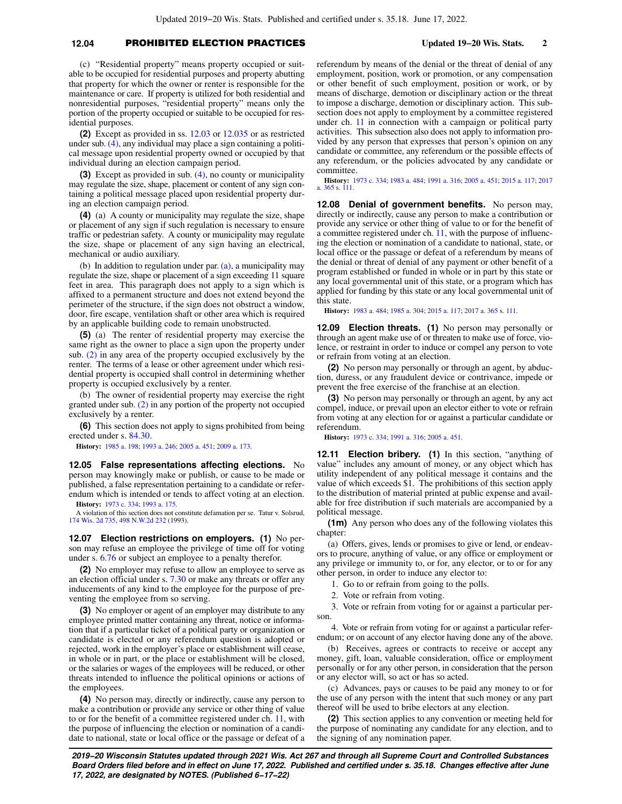### **12.04** PROHIBITED ELECTION PRACTICES **Updated 19−20 Wis. Stats. 2**

(c) "Residential property" means property occupied or suitable to be occupied for residential purposes and property abutting that property for which the owner or renter is responsible for the maintenance or care. If property is utilized for both residential and nonresidential purposes, "residential property" means only the portion of the property occupied or suitable to be occupied for residential purposes.

**(2)** Except as provided in ss. [12.03](https://docs.legis.wisconsin.gov/document/statutes/12.03) or [12.035](https://docs.legis.wisconsin.gov/document/statutes/12.035) or as restricted under sub. [\(4\),](https://docs.legis.wisconsin.gov/document/statutes/12.04(4)) any individual may place a sign containing a political message upon residential property owned or occupied by that individual during an election campaign period.

**(3)** Except as provided in sub. [\(4\)](https://docs.legis.wisconsin.gov/document/statutes/12.04(4)), no county or municipality may regulate the size, shape, placement or content of any sign containing a political message placed upon residential property during an election campaign period.

**(4)** (a) A county or municipality may regulate the size, shape or placement of any sign if such regulation is necessary to ensure traffic or pedestrian safety. A county or municipality may regulate the size, shape or placement of any sign having an electrical, mechanical or audio auxiliary.

(b) In addition to regulation under par. [\(a\)](https://docs.legis.wisconsin.gov/document/statutes/12.04(4)(a)), a municipality may regulate the size, shape or placement of a sign exceeding 11 square feet in area. This paragraph does not apply to a sign which is affixed to a permanent structure and does not extend beyond the perimeter of the structure, if the sign does not obstruct a window, door, fire escape, ventilation shaft or other area which is required by an applicable building code to remain unobstructed.

**(5)** (a) The renter of residential property may exercise the same right as the owner to place a sign upon the property under sub. [\(2\)](https://docs.legis.wisconsin.gov/document/statutes/12.04(2)) in any area of the property occupied exclusively by the renter. The terms of a lease or other agreement under which residential property is occupied shall control in determining whether property is occupied exclusively by a renter.

(b) The owner of residential property may exercise the right granted under sub. [\(2\)](https://docs.legis.wisconsin.gov/document/statutes/12.04(2)) in any portion of the property not occupied exclusively by a renter.

**(6)** This section does not apply to signs prohibited from being erected under s. [84.30.](https://docs.legis.wisconsin.gov/document/statutes/84.30)

**History:** [1985 a. 198](https://docs.legis.wisconsin.gov/document/acts/1985/198); [1993 a. 246](https://docs.legis.wisconsin.gov/document/acts/1993/246); [2005 a. 451;](https://docs.legis.wisconsin.gov/document/acts/2005/451) [2009 a. 173](https://docs.legis.wisconsin.gov/document/acts/2009/173).

**12.05 False representations affecting elections.** No person may knowingly make or publish, or cause to be made or published, a false representation pertaining to a candidate or referendum which is intended or tends to affect voting at an election. **History:** [1973 c. 334](https://docs.legis.wisconsin.gov/document/acts/1973/334); [1993 a. 175](https://docs.legis.wisconsin.gov/document/acts/1993/175).

A violation of this section does not constitute defamation per se. Tatur v. Solsrud, [174 Wis. 2d 735,](https://docs.legis.wisconsin.gov/document/courts/174%20Wis.%202d%20735) [498 N.W.2d 232](https://docs.legis.wisconsin.gov/document/courts/498%20N.W.2d%20232) (1993).

**12.07 Election restrictions on employers. (1)** No person may refuse an employee the privilege of time off for voting under s. [6.76](https://docs.legis.wisconsin.gov/document/statutes/6.76) or subject an employee to a penalty therefor.

**(2)** No employer may refuse to allow an employee to serve as an election official under s. [7.30](https://docs.legis.wisconsin.gov/document/statutes/7.30) or make any threats or offer any inducements of any kind to the employee for the purpose of preventing the employee from so serving.

**(3)** No employer or agent of an employer may distribute to any employee printed matter containing any threat, notice or information that if a particular ticket of a political party or organization or candidate is elected or any referendum question is adopted or rejected, work in the employer's place or establishment will cease, in whole or in part, or the place or establishment will be closed, or the salaries or wages of the employees will be reduced, or other threats intended to influence the political opinions or actions of the employees.

**(4)** No person may, directly or indirectly, cause any person to make a contribution or provide any service or other thing of value to or for the benefit of a committee registered under ch. [11](https://docs.legis.wisconsin.gov/document/statutes/ch.%2011), with the purpose of influencing the election or nomination of a candidate to national, state or local office or the passage or defeat of a referendum by means of the denial or the threat of denial of any employment, position, work or promotion, or any compensation or other benefit of such employment, position or work, or by means of discharge, demotion or disciplinary action or the threat to impose a discharge, demotion or disciplinary action. This subsection does not apply to employment by a committee registered under ch. [11](https://docs.legis.wisconsin.gov/document/statutes/ch.%2011) in connection with a campaign or political party activities. This subsection also does not apply to information provided by any person that expresses that person's opinion on any candidate or committee, any referendum or the possible effects of any referendum, or the policies advocated by any candidate or committee.

**History:** [1973 c. 334](https://docs.legis.wisconsin.gov/document/acts/1973/334); [1983 a. 484](https://docs.legis.wisconsin.gov/document/acts/1983/484); [1991 a. 316;](https://docs.legis.wisconsin.gov/document/acts/1991/316) [2005 a. 451](https://docs.legis.wisconsin.gov/document/acts/2005/451); [2015 a. 117;](https://docs.legis.wisconsin.gov/document/acts/2015/117) [2017](https://docs.legis.wisconsin.gov/document/acts/2017/365) [a. 365](https://docs.legis.wisconsin.gov/document/acts/2017/365) s. [111](https://docs.legis.wisconsin.gov/document/acts/2017/365,%20s.%20111).

**12.08 Denial of government benefits.** No person may, directly or indirectly, cause any person to make a contribution or provide any service or other thing of value to or for the benefit of a committee registered under ch. [11,](https://docs.legis.wisconsin.gov/document/statutes/ch.%2011) with the purpose of influencing the election or nomination of a candidate to national, state, or local office or the passage or defeat of a referendum by means of the denial or threat of denial of any payment or other benefit of a program established or funded in whole or in part by this state or any local governmental unit of this state, or a program which has applied for funding by this state or any local governmental unit of this state.

**History:** [1983 a. 484;](https://docs.legis.wisconsin.gov/document/acts/1983/484) [1985 a. 304](https://docs.legis.wisconsin.gov/document/acts/1985/304); [2015 a. 117;](https://docs.legis.wisconsin.gov/document/acts/2015/117) [2017 a. 365](https://docs.legis.wisconsin.gov/document/acts/2017/365) s. [111](https://docs.legis.wisconsin.gov/document/acts/2017/365,%20s.%20111).

**12.09 Election threats. (1)** No person may personally or through an agent make use of or threaten to make use of force, violence, or restraint in order to induce or compel any person to vote or refrain from voting at an election.

**(2)** No person may personally or through an agent, by abduction, duress, or any fraudulent device or contrivance, impede or prevent the free exercise of the franchise at an election.

**(3)** No person may personally or through an agent, by any act compel, induce, or prevail upon an elector either to vote or refrain from voting at any election for or against a particular candidate or referendum.

**History:** [1973 c. 334;](https://docs.legis.wisconsin.gov/document/acts/1973/334) [1991 a. 316](https://docs.legis.wisconsin.gov/document/acts/1991/316); [2005 a. 451.](https://docs.legis.wisconsin.gov/document/acts/2005/451)

**12.11 Election bribery. (1)** In this section, "anything of value" includes any amount of money, or any object which has utility independent of any political message it contains and the value of which exceeds \$1. The prohibitions of this section apply to the distribution of material printed at public expense and available for free distribution if such materials are accompanied by a political message.

**(1m)** Any person who does any of the following violates this chapter:

(a) Offers, gives, lends or promises to give or lend, or endeavors to procure, anything of value, or any office or employment or any privilege or immunity to, or for, any elector, or to or for any other person, in order to induce any elector to:

1. Go to or refrain from going to the polls.

2. Vote or refrain from voting.

3. Vote or refrain from voting for or against a particular person.

4. Vote or refrain from voting for or against a particular referendum; or on account of any elector having done any of the above.

(b) Receives, agrees or contracts to receive or accept any money, gift, loan, valuable consideration, office or employment personally or for any other person, in consideration that the person or any elector will, so act or has so acted.

(c) Advances, pays or causes to be paid any money to or for the use of any person with the intent that such money or any part thereof will be used to bribe electors at any election.

**(2)** This section applies to any convention or meeting held for the purpose of nominating any candidate for any election, and to the signing of any nomination paper.

**2019−20 Wisconsin Statutes updated through 2021 Wis. Act 267 and through all Supreme Court and Controlled Substances Board Orders filed before and in effect on June 17, 2022. Published and certified under s. 35.18. Changes effective after June 17, 2022, are designated by NOTES. (Published 6−17−22)**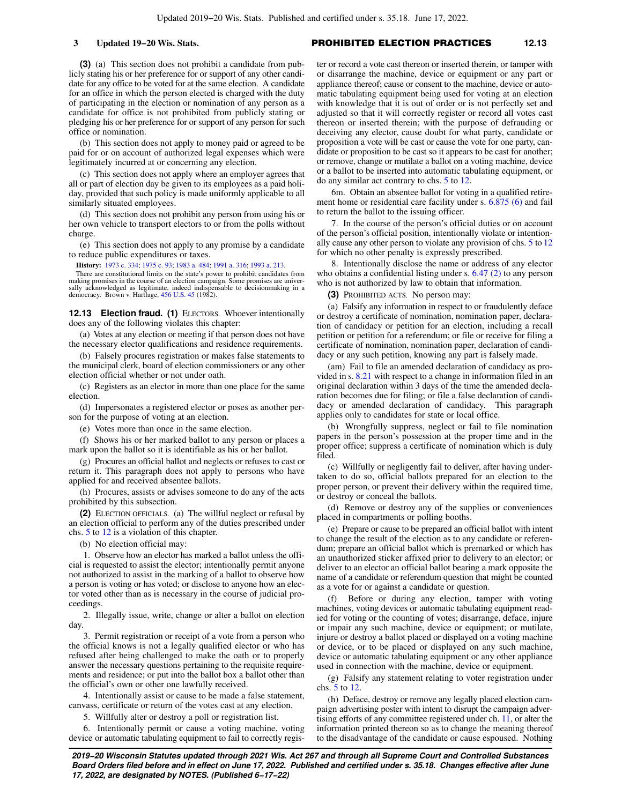**(3)** (a) This section does not prohibit a candidate from publicly stating his or her preference for or support of any other candidate for any office to be voted for at the same election. A candidate for an office in which the person elected is charged with the duty of participating in the election or nomination of any person as a candidate for office is not prohibited from publicly stating or pledging his or her preference for or support of any person for such office or nomination.

(b) This section does not apply to money paid or agreed to be paid for or on account of authorized legal expenses which were legitimately incurred at or concerning any election.

(c) This section does not apply where an employer agrees that all or part of election day be given to its employees as a paid holiday, provided that such policy is made uniformly applicable to all similarly situated employees.

(d) This section does not prohibit any person from using his or her own vehicle to transport electors to or from the polls without charge.

(e) This section does not apply to any promise by a candidate to reduce public expenditures or taxes.

**History:** [1973 c. 334](https://docs.legis.wisconsin.gov/document/acts/1973/334); [1975 c. 93;](https://docs.legis.wisconsin.gov/document/acts/1975/93) [1983 a. 484](https://docs.legis.wisconsin.gov/document/acts/1983/484); [1991 a. 316;](https://docs.legis.wisconsin.gov/document/acts/1991/316) [1993 a. 213.](https://docs.legis.wisconsin.gov/document/acts/1993/213)

There are constitutional limits on the state's power to prohibit candidates from making promises in the course of an election campaign. Some promises are universally acknowledged as legitimate, indeed indispensable to decisionmaking in a democracy. Brown v. Hartlage, [456 U.S. 45](https://docs.legis.wisconsin.gov/document/courts/456%20U.S.%2045) (1982).

**12.13 Election fraud. (1)** ELECTORS. Whoever intentionally does any of the following violates this chapter:

(a) Votes at any election or meeting if that person does not have the necessary elector qualifications and residence requirements.

(b) Falsely procures registration or makes false statements to the municipal clerk, board of election commissioners or any other election official whether or not under oath.

(c) Registers as an elector in more than one place for the same election.

(d) Impersonates a registered elector or poses as another person for the purpose of voting at an election.

(e) Votes more than once in the same election.

(f) Shows his or her marked ballot to any person or places a mark upon the ballot so it is identifiable as his or her ballot.

(g) Procures an official ballot and neglects or refuses to cast or return it. This paragraph does not apply to persons who have applied for and received absentee ballots.

(h) Procures, assists or advises someone to do any of the acts prohibited by this subsection.

**(2)** ELECTION OFFICIALS. (a) The willful neglect or refusal by an election official to perform any of the duties prescribed under chs. [5](https://docs.legis.wisconsin.gov/document/statutes/ch.%205) to [12](https://docs.legis.wisconsin.gov/document/statutes/ch.%2012) is a violation of this chapter.

(b) No election official may:

1. Observe how an elector has marked a ballot unless the official is requested to assist the elector; intentionally permit anyone not authorized to assist in the marking of a ballot to observe how a person is voting or has voted; or disclose to anyone how an elector voted other than as is necessary in the course of judicial proceedings.

2. Illegally issue, write, change or alter a ballot on election day.

3. Permit registration or receipt of a vote from a person who the official knows is not a legally qualified elector or who has refused after being challenged to make the oath or to properly answer the necessary questions pertaining to the requisite requirements and residence; or put into the ballot box a ballot other than the official's own or other one lawfully received.

4. Intentionally assist or cause to be made a false statement, canvass, certificate or return of the votes cast at any election.

5. Willfully alter or destroy a poll or registration list.

6. Intentionally permit or cause a voting machine, voting device or automatic tabulating equipment to fail to correctly register or record a vote cast thereon or inserted therein, or tamper with or disarrange the machine, device or equipment or any part or appliance thereof; cause or consent to the machine, device or automatic tabulating equipment being used for voting at an election with knowledge that it is out of order or is not perfectly set and adjusted so that it will correctly register or record all votes cast thereon or inserted therein; with the purpose of defrauding or deceiving any elector, cause doubt for what party, candidate or proposition a vote will be cast or cause the vote for one party, candidate or proposition to be cast so it appears to be cast for another; or remove, change or mutilate a ballot on a voting machine, device or a ballot to be inserted into automatic tabulating equipment, or do any similar act contrary to chs. [5](https://docs.legis.wisconsin.gov/document/statutes/ch.%205) to [12](https://docs.legis.wisconsin.gov/document/statutes/ch.%2012).

6m. Obtain an absentee ballot for voting in a qualified retirement home or residential care facility under s. [6.875 \(6\)](https://docs.legis.wisconsin.gov/document/statutes/6.875(6)) and fail to return the ballot to the issuing officer.

7. In the course of the person's official duties or on account of the person's official position, intentionally violate or intentionally cause any other person to violate any provision of chs. [5](https://docs.legis.wisconsin.gov/document/statutes/ch.%205) to [12](https://docs.legis.wisconsin.gov/document/statutes/ch.%2012) for which no other penalty is expressly prescribed.

8. Intentionally disclose the name or address of any elector who obtains a confidential listing under s. [6.47 \(2\)](https://docs.legis.wisconsin.gov/document/statutes/6.47(2)) to any person who is not authorized by law to obtain that information.

**(3)** PROHIBITED ACTS. No person may:

(a) Falsify any information in respect to or fraudulently deface or destroy a certificate of nomination, nomination paper, declaration of candidacy or petition for an election, including a recall petition or petition for a referendum; or file or receive for filing a certificate of nomination, nomination paper, declaration of candidacy or any such petition, knowing any part is falsely made.

(am) Fail to file an amended declaration of candidacy as provided in s. [8.21](https://docs.legis.wisconsin.gov/document/statutes/8.21) with respect to a change in information filed in an original declaration within 3 days of the time the amended declaration becomes due for filing; or file a false declaration of candidacy or amended declaration of candidacy. This paragraph applies only to candidates for state or local office.

(b) Wrongfully suppress, neglect or fail to file nomination papers in the person's possession at the proper time and in the proper office; suppress a certificate of nomination which is duly filed.

(c) Willfully or negligently fail to deliver, after having undertaken to do so, official ballots prepared for an election to the proper person, or prevent their delivery within the required time, or destroy or conceal the ballots.

(d) Remove or destroy any of the supplies or conveniences placed in compartments or polling booths.

(e) Prepare or cause to be prepared an official ballot with intent to change the result of the election as to any candidate or referendum; prepare an official ballot which is premarked or which has an unauthorized sticker affixed prior to delivery to an elector; or deliver to an elector an official ballot bearing a mark opposite the name of a candidate or referendum question that might be counted as a vote for or against a candidate or question.

(f) Before or during any election, tamper with voting machines, voting devices or automatic tabulating equipment readied for voting or the counting of votes; disarrange, deface, injure or impair any such machine, device or equipment; or mutilate, injure or destroy a ballot placed or displayed on a voting machine or device, or to be placed or displayed on any such machine, device or automatic tabulating equipment or any other appliance used in connection with the machine, device or equipment.

(g) Falsify any statement relating to voter registration under chs. [5](https://docs.legis.wisconsin.gov/document/statutes/ch.%205) to [12.](https://docs.legis.wisconsin.gov/document/statutes/ch.%2012)

(h) Deface, destroy or remove any legally placed election campaign advertising poster with intent to disrupt the campaign advertising efforts of any committee registered under ch. [11,](https://docs.legis.wisconsin.gov/document/statutes/ch.%2011) or alter the information printed thereon so as to change the meaning thereof to the disadvantage of the candidate or cause espoused. Nothing

**2019−20 Wisconsin Statutes updated through 2021 Wis. Act 267 and through all Supreme Court and Controlled Substances Board Orders filed before and in effect on June 17, 2022. Published and certified under s. 35.18. Changes effective after June 17, 2022, are designated by NOTES. (Published 6−17−22)**

### **3 Updated 19−20 Wis. Stats.** PROHIBITED ELECTION PRACTICES **12.13**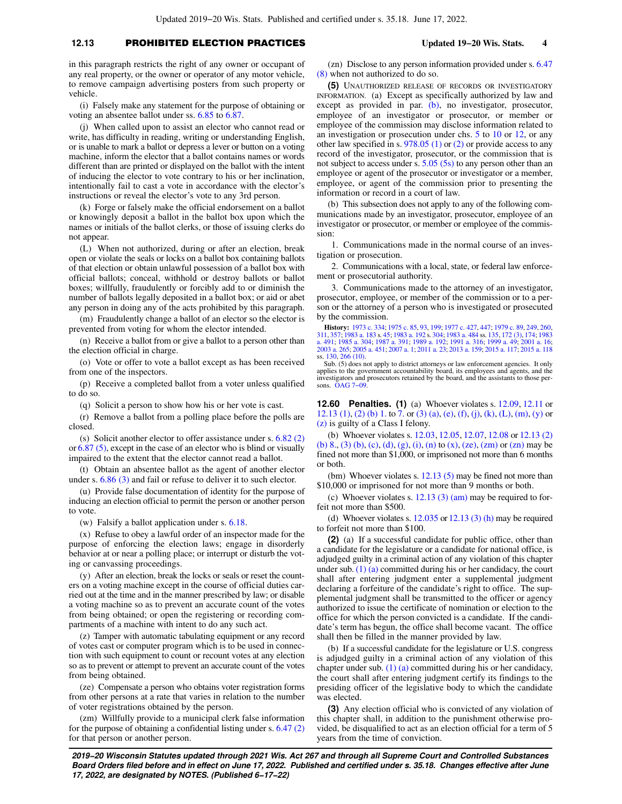## **12.13** PROHIBITED ELECTION PRACTICES **Updated 19−20 Wis. Stats. 4**

in this paragraph restricts the right of any owner or occupant of any real property, or the owner or operator of any motor vehicle, to remove campaign advertising posters from such property or vehicle.

(i) Falsely make any statement for the purpose of obtaining or voting an absentee ballot under ss. [6.85](https://docs.legis.wisconsin.gov/document/statutes/6.85) to [6.87](https://docs.legis.wisconsin.gov/document/statutes/6.87).

(j) When called upon to assist an elector who cannot read or write, has difficulty in reading, writing or understanding English, or is unable to mark a ballot or depress a lever or button on a voting machine, inform the elector that a ballot contains names or words different than are printed or displayed on the ballot with the intent of inducing the elector to vote contrary to his or her inclination, intentionally fail to cast a vote in accordance with the elector's instructions or reveal the elector's vote to any 3rd person.

(k) Forge or falsely make the official endorsement on a ballot or knowingly deposit a ballot in the ballot box upon which the names or initials of the ballot clerks, or those of issuing clerks do not appear.

(L) When not authorized, during or after an election, break open or violate the seals or locks on a ballot box containing ballots of that election or obtain unlawful possession of a ballot box with official ballots; conceal, withhold or destroy ballots or ballot boxes; willfully, fraudulently or forcibly add to or diminish the number of ballots legally deposited in a ballot box; or aid or abet any person in doing any of the acts prohibited by this paragraph.

(m) Fraudulently change a ballot of an elector so the elector is prevented from voting for whom the elector intended.

(n) Receive a ballot from or give a ballot to a person other than the election official in charge.

(o) Vote or offer to vote a ballot except as has been received from one of the inspectors.

(p) Receive a completed ballot from a voter unless qualified to do so.

(q) Solicit a person to show how his or her vote is cast.

(r) Remove a ballot from a polling place before the polls are closed.

(s) Solicit another elector to offer assistance under s. [6.82 \(2\)](https://docs.legis.wisconsin.gov/document/statutes/6.82(2)) or [6.87 \(5\),](https://docs.legis.wisconsin.gov/document/statutes/6.87(5)) except in the case of an elector who is blind or visually impaired to the extent that the elector cannot read a ballot.

(t) Obtain an absentee ballot as the agent of another elector under s. [6.86 \(3\)](https://docs.legis.wisconsin.gov/document/statutes/6.86(3)) and fail or refuse to deliver it to such elector.

(u) Provide false documentation of identity for the purpose of inducing an election official to permit the person or another person to vote.

(w) Falsify a ballot application under s. [6.18](https://docs.legis.wisconsin.gov/document/statutes/6.18).

(x) Refuse to obey a lawful order of an inspector made for the purpose of enforcing the election laws; engage in disorderly behavior at or near a polling place; or interrupt or disturb the voting or canvassing proceedings.

(y) After an election, break the locks or seals or reset the counters on a voting machine except in the course of official duties carried out at the time and in the manner prescribed by law; or disable a voting machine so as to prevent an accurate count of the votes from being obtained; or open the registering or recording compartments of a machine with intent to do any such act.

(z) Tamper with automatic tabulating equipment or any record of votes cast or computer program which is to be used in connection with such equipment to count or recount votes at any election so as to prevent or attempt to prevent an accurate count of the votes from being obtained.

(ze) Compensate a person who obtains voter registration forms from other persons at a rate that varies in relation to the number of voter registrations obtained by the person.

(zm) Willfully provide to a municipal clerk false information for the purpose of obtaining a confidential listing under s. [6.47 \(2\)](https://docs.legis.wisconsin.gov/document/statutes/6.47(2)) for that person or another person.

(zn) Disclose to any person information provided under s. [6.47](https://docs.legis.wisconsin.gov/document/statutes/6.47(8)) [\(8\)](https://docs.legis.wisconsin.gov/document/statutes/6.47(8)) when not authorized to do so.

**(5)** UNAUTHORIZED RELEASE OF RECORDS OR INVESTIGATORY INFORMATION. (a) Except as specifically authorized by law and except as provided in par. [\(b\)](https://docs.legis.wisconsin.gov/document/statutes/12.13(5)(b)), no investigator, prosecutor, employee of an investigator or prosecutor, or member or employee of the commission may disclose information related to an investigation or prosecution under chs. [5](https://docs.legis.wisconsin.gov/document/statutes/ch.%205) to [10](https://docs.legis.wisconsin.gov/document/statutes/ch.%2010) or [12,](https://docs.legis.wisconsin.gov/document/statutes/ch.%2012) or any other law specified in s. [978.05 \(1\)](https://docs.legis.wisconsin.gov/document/statutes/978.05(1)) or [\(2\)](https://docs.legis.wisconsin.gov/document/statutes/978.05(2)) or provide access to any record of the investigator, prosecutor, or the commission that is not subject to access under s. [5.05 \(5s\)](https://docs.legis.wisconsin.gov/document/statutes/5.05(5s)) to any person other than an employee or agent of the prosecutor or investigator or a member, employee, or agent of the commission prior to presenting the information or record in a court of law.

(b) This subsection does not apply to any of the following communications made by an investigator, prosecutor, employee of an investigator or prosecutor, or member or employee of the commission:

1. Communications made in the normal course of an investigation or prosecution.

2. Communications with a local, state, or federal law enforcement or prosecutorial authority.

3. Communications made to the attorney of an investigator, prosecutor, employee, or member of the commission or to a person or the attorney of a person who is investigated or prosecuted by the commission.

**History:** [1973 c. 334;](https://docs.legis.wisconsin.gov/document/acts/1973/334) [1975 c. 85,](https://docs.legis.wisconsin.gov/document/acts/1975/85) [93,](https://docs.legis.wisconsin.gov/document/acts/1975/93) [199](https://docs.legis.wisconsin.gov/document/acts/1975/199); [1977 c. 427,](https://docs.legis.wisconsin.gov/document/acts/1977/427) [447](https://docs.legis.wisconsin.gov/document/acts/1977/447); [1979 c. 89](https://docs.legis.wisconsin.gov/document/acts/1979/89), [249,](https://docs.legis.wisconsin.gov/document/acts/1979/249) [260](https://docs.legis.wisconsin.gov/document/acts/1979/260), [311](https://docs.legis.wisconsin.gov/document/acts/1979/311), [357;](https://docs.legis.wisconsin.gov/document/acts/1979/357) [1983 a. 183](https://docs.legis.wisconsin.gov/document/acts/1983/183) s. [45](https://docs.legis.wisconsin.gov/document/acts/1983/183,%20s.%2045); [1983 a. 192](https://docs.legis.wisconsin.gov/document/acts/1983/192) s. [304](https://docs.legis.wisconsin.gov/document/acts/1983/192,%20s.%20304); [1983 a. 484](https://docs.legis.wisconsin.gov/document/acts/1983/484) ss. [135](https://docs.legis.wisconsin.gov/document/acts/1983/484,%20s.%20135), [172 \(3\),](https://docs.legis.wisconsin.gov/document/acts/1983/484,%20s.%20172) [174](https://docs.legis.wisconsin.gov/document/acts/1983/484,%20s.%20174); [1983](https://docs.legis.wisconsin.gov/document/acts/1983/491)<br>[a. 491](https://docs.legis.wisconsin.gov/document/acts/1983/491); [1985 a. 304;](https://docs.legis.wisconsin.gov/document/acts/1985/304) [1987 a. 391;](https://docs.legis.wisconsin.gov/document/acts/1987/391) [1989 a. 192](https://docs.legis.wisconsin.gov/document/acts/1989/192); 1 [2003 a. 265](https://docs.legis.wisconsin.gov/document/acts/2003/265); [2005 a. 451](https://docs.legis.wisconsin.gov/document/acts/2005/451); [2007 a. 1;](https://docs.legis.wisconsin.gov/document/acts/2007/1) [2011 a. 23](https://docs.legis.wisconsin.gov/document/acts/2011/23); [2013 a. 159](https://docs.legis.wisconsin.gov/document/acts/2013/159); [2015 a. 117](https://docs.legis.wisconsin.gov/document/acts/2015/117); [2015 a. 118](https://docs.legis.wisconsin.gov/document/acts/2015/118) ss. [130](https://docs.legis.wisconsin.gov/document/acts/2015/118,%20s.%20130), [266 \(10\).](https://docs.legis.wisconsin.gov/document/acts/2015/118,%20s.%20266)

Sub. (5) does not apply to district attorneys or law enforcement agencies. It only applies to the government accountability board, its employees and agents, and the investigators and prosecutors retained by the board, and the assistants to those persons. **OAG** 7-09.

**12.60 Penalties. (1)** (a) Whoever violates s. [12.09,](https://docs.legis.wisconsin.gov/document/statutes/12.09) [12.11](https://docs.legis.wisconsin.gov/document/statutes/12.11) or [12.13 \(1\),](https://docs.legis.wisconsin.gov/document/statutes/12.13(1)) [\(2\) \(b\) 1.](https://docs.legis.wisconsin.gov/document/statutes/12.13(2)(b)1.) to [7.](https://docs.legis.wisconsin.gov/document/statutes/12.13(2)(b)7.) or [\(3\) \(a\)](https://docs.legis.wisconsin.gov/document/statutes/12.13(3)(a)), [\(e\),](https://docs.legis.wisconsin.gov/document/statutes/12.13(3)(e)) [\(f\),](https://docs.legis.wisconsin.gov/document/statutes/12.13(3)(f)) [\(j\),](https://docs.legis.wisconsin.gov/document/statutes/12.13(3)(j)) [\(k\)](https://docs.legis.wisconsin.gov/document/statutes/12.13(3)(k)), [\(L\),](https://docs.legis.wisconsin.gov/document/statutes/12.13(3)(L)) [\(m\)](https://docs.legis.wisconsin.gov/document/statutes/12.13(3)(m)), [\(y\)](https://docs.legis.wisconsin.gov/document/statutes/12.13(3)(y)) or [\(z\)](https://docs.legis.wisconsin.gov/document/statutes/12.13(3)(z)) is guilty of a Class I felony.

(b) Whoever violates s. [12.03](https://docs.legis.wisconsin.gov/document/statutes/12.03), [12.05,](https://docs.legis.wisconsin.gov/document/statutes/12.05) [12.07,](https://docs.legis.wisconsin.gov/document/statutes/12.07) [12.08](https://docs.legis.wisconsin.gov/document/statutes/12.08) or [12.13 \(2\)](https://docs.legis.wisconsin.gov/document/statutes/12.13(2)(b)8.) [\(b\) 8.](https://docs.legis.wisconsin.gov/document/statutes/12.13(2)(b)8.), [\(3\) \(b\)](https://docs.legis.wisconsin.gov/document/statutes/12.13(3)(b)), [\(c\),](https://docs.legis.wisconsin.gov/document/statutes/12.13(3)(c)) [\(d\)](https://docs.legis.wisconsin.gov/document/statutes/12.13(3)(d)), [\(g\)](https://docs.legis.wisconsin.gov/document/statutes/12.13(3)(g)), [\(i\),](https://docs.legis.wisconsin.gov/document/statutes/12.13(3)(i)) [\(n\)](https://docs.legis.wisconsin.gov/document/statutes/12.13(3)(n)) to [\(x\),](https://docs.legis.wisconsin.gov/document/statutes/12.13(3)(x)) [\(ze\)](https://docs.legis.wisconsin.gov/document/statutes/12.13(3)(ze)), [\(zm\)](https://docs.legis.wisconsin.gov/document/statutes/12.13(3)(zm)) or [\(zn\)](https://docs.legis.wisconsin.gov/document/statutes/12.13(3)(zn)) may be fined not more than \$1,000, or imprisoned not more than 6 months or both.

(bm) Whoever violates s.  $12.13(5)$  may be fined not more than \$10,000 or imprisoned for not more than 9 months or both.

(c) Whoever violates s.  $12.13$  (3) (am) may be required to forfeit not more than \$500.

(d) Whoever violates s.  $12.035$  or  $12.13$  (3) (h) may be required to forfeit not more than \$100.

**(2)** (a) If a successful candidate for public office, other than a candidate for the legislature or a candidate for national office, is adjudged guilty in a criminal action of any violation of this chapter under sub. [\(1\) \(a\)](https://docs.legis.wisconsin.gov/document/statutes/12.60(1)(a)) committed during his or her candidacy, the court shall after entering judgment enter a supplemental judgment declaring a forfeiture of the candidate's right to office. The supplemental judgment shall be transmitted to the officer or agency authorized to issue the certificate of nomination or election to the office for which the person convicted is a candidate. If the candidate's term has begun, the office shall become vacant. The office shall then be filled in the manner provided by law.

(b) If a successful candidate for the legislature or U.S. congress is adjudged guilty in a criminal action of any violation of this chapter under sub. [\(1\) \(a\)](https://docs.legis.wisconsin.gov/document/statutes/12.60(1)(a)) committed during his or her candidacy, the court shall after entering judgment certify its findings to the presiding officer of the legislative body to which the candidate was elected.

**(3)** Any election official who is convicted of any violation of this chapter shall, in addition to the punishment otherwise provided, be disqualified to act as an election official for a term of 5 years from the time of conviction.

**2019−20 Wisconsin Statutes updated through 2021 Wis. Act 267 and through all Supreme Court and Controlled Substances Board Orders filed before and in effect on June 17, 2022. Published and certified under s. 35.18. Changes effective after June 17, 2022, are designated by NOTES. (Published 6−17−22)**